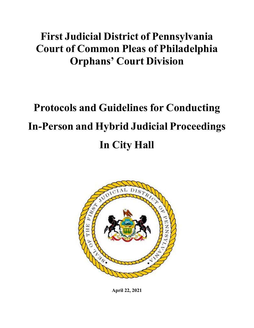## **First Judicial District of Pennsylvania Court of Common Pleas of Philadelphia Orphans' Court Division**

# **Protocols and Guidelines for Conducting In-Person and Hybrid Judicial Proceedings In City Hall**



**April 22, 2021**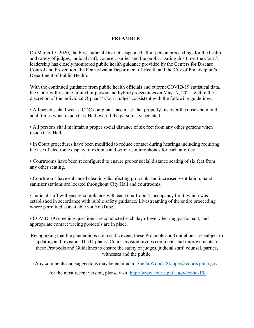#### **PREAMBLE**

On March 17, 2020, the First Judicial District suspended all in-person proceedings for the health and safety of judges, judicial staff, counsel, parties and the public. During this time, the Court's leadership has closely monitored public health guidance provided by the Centers for Disease Control and Prevention, the Pennsylvania Department of Health and the City of Philadelphia's Department of Public Health.

With the continued guidance from public health officials and current COVID-19 statistical data, the Court will resume limited in-person and hybrid proceedings on May 17, 2021, within the discretion of the individual Orphans' Court Judges consistent with the following guidelines:

• All persons shall wear a CDC compliant face mask that properly fits over the nose and mouth at all times when inside City Hall even if the person is vaccinated.

• All persons shall maintain a proper social distance of six feet from any other persons when inside City Hall.

• In Court procedures have been modified to reduce contact during hearings including requiring the use of electronic display of exhibits and wireless microphones for each attorney.

• Courtrooms have been reconfigured to ensure proper social distance seating of six feet from any other seating.

• Courtrooms have enhanced cleaning/disinfecting protocols and increased ventilation; hand sanitizer stations are located throughout City Hall and courtrooms.

• Judicial staff will ensure compliance with each courtroom's occupancy limit, which was established in accordance with public safety guidance. Livestreaming of the entire proceeding where permitted is available via YouTube.

• COVID-19 screening questions are conducted each day of every hearing participant, and appropriate contact tracing protocols are in place.

Recognizing that the pandemic is not a static event, these Protocols and Guidelines are subject to updating and revision. The Orphans' Court Division invites comments and improvements to these Protocols and Guidelines to ensure the safety of judges, judicial staff, counsel, parties, witnesses and the public.

Any comments and suggestions may be emailed to **[Sheila.Woods-Skipper@courts.phila.gov.](mailto:Sheila.Woods-Skipper@courts.phila.gov)** 

For the most recent version, please visit: <http://www.courts.phila.gov/covid-19/>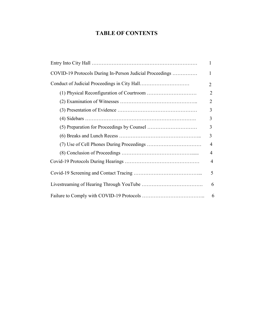### **TABLE OF CONTENTS**

|                                                          | 1              |
|----------------------------------------------------------|----------------|
| COVID-19 Protocols During In-Person Judicial Proceedings | 1              |
|                                                          | 2              |
|                                                          | $\overline{2}$ |
|                                                          | 2              |
|                                                          | 3              |
|                                                          | 3              |
|                                                          | 3              |
|                                                          | 3              |
|                                                          | 4              |
|                                                          | 4              |
|                                                          | $\overline{4}$ |
|                                                          | 5              |
|                                                          | 6              |
|                                                          | 6              |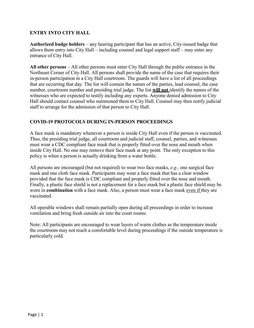#### **ENTRY INTO CITY HALL**

**Authorized badge holders** – any hearing participant that has an active, City-issued badge that allows them entry into City Hall – including counsel and legal support staff – may enter any entrance of City Hall.

**All other persons** – All other persons must enter City Hall through the public entrance in the Northeast Corner of City Hall. All persons shall provide the name of the case that requires their in-person participation in a City Hall courtroom. The guards will have a list of all proceedings that are occurring that day. The list will contain the names of the parties, lead counsel, the case number, courtroom number and presiding trial judge. The list **will not** identify the names of the witnesses who are expected to testify including any experts. Anyone denied admission to City Hall should contact counsel who summoned them to City Hall. Counsel may then notify judicial staff to arrange for the admission of that person to City Hall.

#### **COVID-19 PROTOCOLS DURING IN-PERSON PROCEEDINGS**

A face mask is mandatory whenever a person is inside City Hall even if the person is vaccinated. Thus, the presiding trial judge, all courtroom and judicial staff, counsel, parties, and witnesses must wear a CDC compliant face mask that is properly fitted over the nose and mouth when inside City Hall. No one may remove their face mask at any point. The only exception to this policy is when a person is actually drinking from a water bottle.

All persons are encouraged (but not required) to wear two face masks, *e.g.,* one surgical face mask and one cloth face mask. Participants may wear a face mask that has a clear window provided that the face mask is CDC compliant and properly fitted over the nose and mouth. Finally, a plastic face shield is not a replacement for a face mask but a plastic face shield may be worn in **combination** with a face mask. Also, a person must wear a face mask even if they are vaccinated.

All operable windows shall remain partially open during all proceedings in order to increase ventilation and bring fresh outside air into the court rooms.

Note: All participants are encouraged to wear layers of warm clothes as the temperature inside the courtroom may not reach a comfortable level during proceedings if the outside temperature is particularly cold.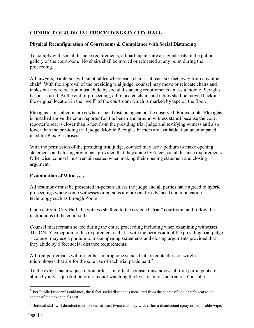#### **CONDUCT OF JUDICIAL PROCEEDINGS IN CITY HALL**

#### **Physical Reconfiguration of Courtrooms & Compliance with Social Distancing**

To comply with social distance requirements, all participants are assigned seats in the public gallery of the courtroom. No chairs shall be moved or relocated at any point during the proceeding.

All lawyers, paralegals will sit at tables where each chair is at least six feet away from any other chair<sup>1</sup>. With the approval of the presiding trial judge, counsel may move or relocate chairs and tables but any relocation must abide by social distancing requirements unless a mobile Plexiglas barrier is used. At the end of proceeding, all relocated chairs and tables shall be moved back in the original location in the "well" of the courtroom which is marked by tape on the floor.

Plexiglas is installed in areas where social distancing cannot be observed. For example, Plexiglas is installed above the court reporter (on the bench and around witness stand) because the court reporter's seat is closer than 6 feet from the presiding trial judge and testifying witness and also lower than the presiding trial judge. Mobile Plexiglas barriers are available if an unanticipated need for Plexiglas arises.

With the permission of the presiding trial judge, counsel may use a podium to make opening statements and closing arguments provided that they abide by 6 feet social distance requirements. Otherwise, counsel must remain seated when making their opening statement and closing argument.

#### **Examination of Witnesses**

All testimony must be presented in-person unless the judge and all parties have agreed to hybrid proceedings where some witnesses or persons are present by advanced communication technology such as through Zoom.

Upon entry to City Hall, the witness shall go to the assigned "trial" courtroom and follow the instructions of the court staff.

Counsel must remain seated during the entire proceeding including when examining witnesses. The ONLY exception to this requirement is that – with the permission of the presiding trial judge – counsel may use a podium to make opening statements and closing arguments provided that they abide by 6 feet social distance requirements.

All trial participants will use either microphone stands that are contactless or wireless microphones that are for the sole use of each trial participant.<sup>2</sup>

To the extent that a sequestration order is in effect, counsel must advise all trial participants to abide by any sequestration order by not watching the livestream of the trial on YouTube.

<sup>&</sup>lt;sup>1</sup> Per Public Property's guidance, the 6 feet social distance is measured from the center of one chair's seat to the center of the next chair's seat.

<sup>&</sup>lt;sup>2</sup> Judicial staff will disinfect microphones at least twice each day with either a disinfectant spray or disposable wipe.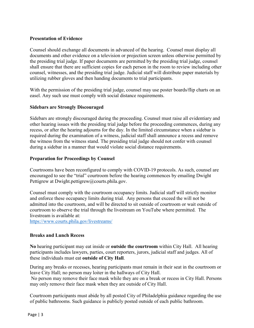#### **Presentation of Evidence**

Counsel should exchange all documents in advanced of the hearing. Counsel must display all documents and other evidence on a television or projection screen unless otherwise permitted by the presiding trial judge. If paper documents are permitted by the presiding trial judge, counsel shall ensure that there are sufficient copies for each person in the room to review including other counsel, witnesses, and the presiding trial judge. Judicial staff will distribute paper materials by utilizing rubber gloves and then handing documents to trial participants.

With the permission of the presiding trial judge, counsel may use poster boards/flip charts on an easel. Any such use must comply with social distance requirements.

#### **Sidebars are Strongly Discouraged**

Sidebars are strongly discouraged during the proceeding. Counsel must raise all evidentiary and other hearing issues with the presiding trial judge before the proceeding commences, during any recess, or after the hearing adjourns for the day. In the limited circumstance when a sidebar is required during the examination of a witness, judicial staff shall announce a recess and remove the witness from the witness stand. The presiding trial judge should not confer with counsel during a sidebar in a manner that would violate social distance requirements.

#### **Preparation for Proceedings by Counsel**

Courtrooms have been reconfigured to comply with COVID-19 protocols. As such, counsel are encouraged to see the "trial" courtroom before the hearing commences by emailing Dwight Pettigrew at [Dwight.pettigrew@courts.phila.gov.](mailto:Dwight.pettigrew@courts.phila.gov)

Counsel must comply with the courtroom occupancy limits. Judicial staff will strictly monitor and enforce these occupancy limits during trial. Any persons that exceed the will not be admitted into the courtroom, and will be directed to sit outside of courtroom or wait outside of courtroom to observe the trial through the livestream on YouTube where permitted. The livestream is available at:

<https://www.courts.phila.gov/livestreams/>

#### **Breaks and Lunch Recess**

**No** hearing participant may eat inside or **outside the courtroom** within City Hall. All hearing participants includes lawyers, parties, court reporters, jurors, judicial staff and judges. All of these individuals must eat **outside of City Hall**.

During any breaks or recesses, hearing participants must remain in their seat in the courtroom or leave City Hall; no person may loiter in the hallways of City Hall.

No person may remove their face mask while they are on a break or recess in City Hall. Persons may only remove their face mask when they are outside of City Hall.

Courtroom participants must abide by all posted City of Philadelphia guidance regarding the use of public bathrooms. Such guidance is publicly posted outside of each public bathroom.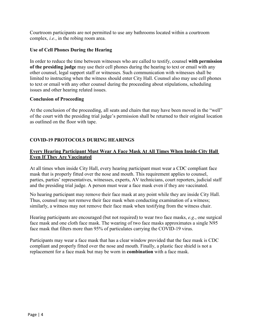Courtroom participants are not permitted to use any bathrooms located within a courtroom complex, *i.e.*, in the robing room area.

#### **Use of Cell Phones During the Hearing**

In order to reduce the time between witnesses who are called to testify, counsel **with permission of the presiding judge** may use their cell phones during the hearing to text or email with any other counsel, legal support staff or witnesses. Such communication with witnesses shall be limited to instructing when the witness should enter City Hall. Counsel also may use cell phones to text or email with any other counsel during the proceeding about stipulations, scheduling issues and other hearing related issues.

#### **Conclusion of Proceeding**

At the conclusion of the proceeding, all seats and chairs that may have been moved in the "well" of the court with the presiding trial judge's permission shall be returned to their original location as outlined on the floor with tape.

#### **COVID-19 PROTOCOLS DURING HEARINGS**

#### **Every Hearing Participant Must Wear A Face Mask At All Times When Inside City Hall Even If They Are Vaccinated**

At all times when inside City Hall, every hearing participant must wear a CDC compliant face mask that is properly fitted over the nose and mouth. This requirement applies to counsel, parties, parties' representatives, witnesses, experts, AV technicians, court reporters, judicial staff and the presiding trial judge. A person must wear a face mask even if they are vaccinated.

No hearing participant may remove their face mask at any point while they are inside City Hall. Thus, counsel may not remove their face mask when conducting examination of a witness; similarly, a witness may not remove their face mask when testifying from the witness chair.

Hearing participants are encouraged (but not required) to wear two face masks, *e.g*., one surgical face mask and one cloth face mask. The wearing of two face masks approximates a single N95 face mask that filters more than 95% of particulates carrying the COVID-19 virus.

Participants may wear a face mask that has a clear window provided that the face mask is CDC compliant and properly fitted over the nose and mouth. Finally, a plastic face shield is not a replacement for a face mask but may be worn in **combination** with a face mask.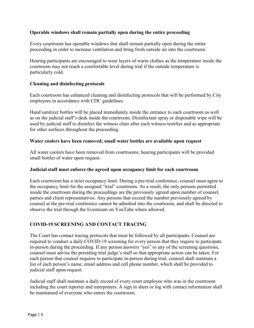#### **Operable windows shall remain partially open during the entire proceeding**

Every courtroom has operable windows that shall remain partially open during the entire proceeding in order to increase ventilation and bring fresh outside air into the courtroom.

Hearing participants are encouraged to wear layers of warm clothes as the temperature inside the courtroom may not reach a comfortable level during trial if the outside temperature is particularly cold.

#### **Cleaning and disinfecting protocols**

Each courtroom has enhanced cleaning and disinfecting protocols that will be performed by City employees in accordance with CDC guidelines.

Hand sanitizer bottles will be placed immediately inside the entrance to each courtroom as well as on the judicial staff's desk inside the courtroom. Disinfectant spray or disposable wipe will be used by judicial staff to disinfect the witness chair after each witness testifies and as appropriate for other surfaces throughout the proceeding.

#### **Water coolers have been removed; small water bottles are available upon request**

All water coolers have been removed from courtrooms; hearing participants will be provided small bottles of water upon request.

#### **Judicial staff must enforce the agreed upon occupancy limit for each courtroom**

Each courtroom has a strict occupancy limit. During a pre-trial conference, counsel must agree to the occupancy limit for the assigned "trial" courtroom. As a result, the only persons permitted inside the courtroom during the proceedings are the previously agreed upon number of counsel, parties and client representatives. Any persons that exceed the number previously agreed by counsel at the pre-trial conference cannot be admitted into the courtroom, and shall be directed to observe the trial through the livestream on YouTube where allowed.

#### **COVID-19 SCREENING AND CONTACT TRACING**

The Court has contact tracing protocols that must be followed by all participants. Counsel are required to conduct a daily COVID-19 screening for every person that they require to participate in-person during the proceeding. If any person answers "yes" to any of the screening questions, counsel must advise the presiding trial judge's staff so that appropriate action can be taken. For each person that counsel requires to participate in-person during trial, counsel shall maintain a list of each person's name, email address and cell phone number, which shall be provided to judicial staff upon request.

Judicial staff shall maintain a daily record of every court employee who was in the courtroom including the court reporter and interpreters. A sign in sheet or log with contact information shall be maintained of everyone who enters the courtroom.